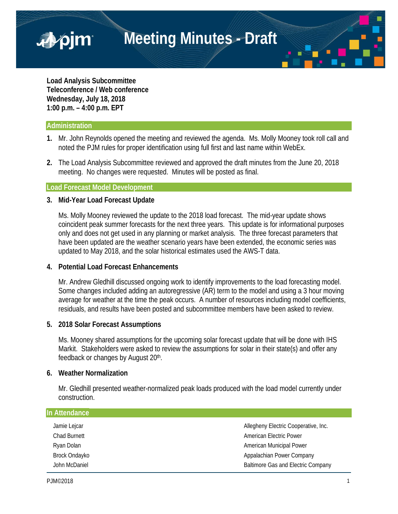**Meeting Minutes - Draft**

**Load Analysis Subcommittee Teleconference / Web conference Wednesday, July 18, 2018 1:00 p.m. – 4:00 p.m. EPT**

#### **Administration**

■pjm

- **1.** Mr. John Reynolds opened the meeting and reviewed the agenda. Ms. Molly Mooney took roll call and noted the PJM rules for proper identification using full first and last name within WebEx.
- **2.** The Load Analysis Subcommittee reviewed and approved the draft minutes from the June 20, 2018 meeting. No changes were requested. Minutes will be posted as final.

## **Load Forecast Model Development**

#### **3. Mid-Year Load Forecast Update**

Ms. Molly Mooney reviewed the update to the 2018 load forecast. The mid-year update shows coincident peak summer forecasts for the next three years. This update is for informational purposes only and does not get used in any planning or market analysis. The three forecast parameters that have been updated are the weather scenario years have been extended, the economic series was updated to May 2018, and the solar historical estimates used the AWS-T data.

## **4. Potential Load Forecast Enhancements**

Mr. Andrew Gledhill discussed ongoing work to identify improvements to the load forecasting model. Some changes included adding an autoregressive (AR) term to the model and using a 3 hour moving average for weather at the time the peak occurs. A number of resources including model coefficients, residuals, and results have been posted and subcommittee members have been asked to review.

## **5. 2018 Solar Forecast Assumptions**

Ms. Mooney shared assumptions for the upcoming solar forecast update that will be done with IHS Markit. Stakeholders were asked to review the assumptions for solar in their state(s) and offer any feedback or changes by August 20<sup>th</sup>.

## **6. Weather Normalization**

Mr. Gledhill presented weather-normalized peak loads produced with the load model currently under construction.

| In Attendance       |                                           |
|---------------------|-------------------------------------------|
| Jamie Lejcar        | Allegheny Electric Cooperative, Inc.      |
| <b>Chad Burnett</b> | <b>American Electric Power</b>            |
| Ryan Dolan          | American Municipal Power                  |
| Brock Ondayko       | Appalachian Power Company                 |
| John McDaniel       | <b>Baltimore Gas and Electric Company</b> |
|                     |                                           |